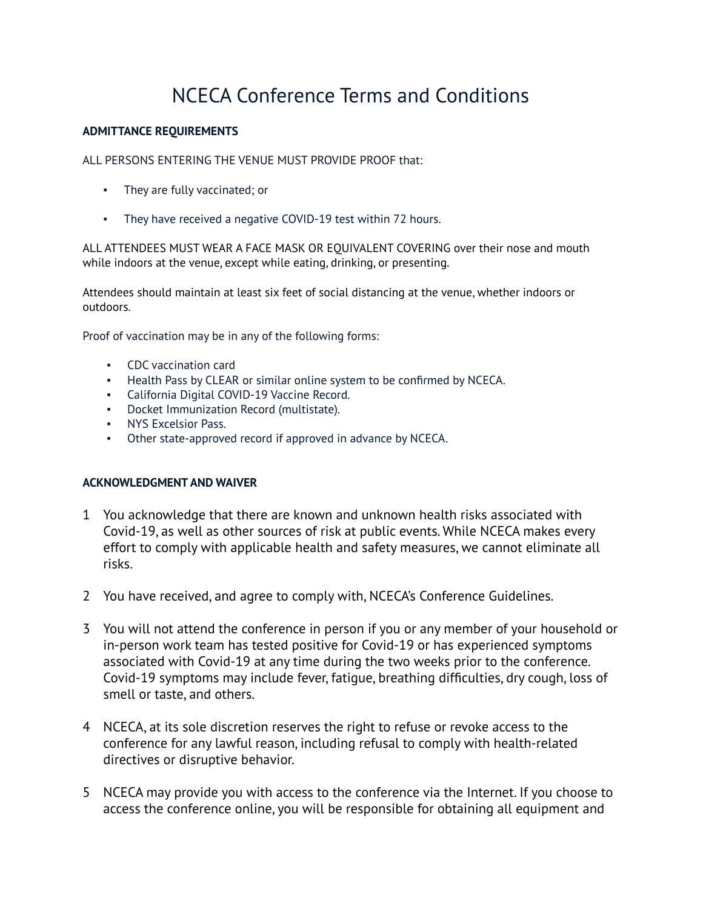## NCECA Conference Terms and Conditions

## **ADMITTANCE REQUIREMENTS**

ALL PERSONS ENTERING THE VENUE MUST PROVIDE PROOF that:

- They are fully vaccinated; or
- They have received a negative COVID-19 test within 72 hours.

ALL ATTENDEES MUST WEAR A FACE MASK OR EQUIVALENT COVERING over their nose and mouth while indoors at the venue, except while eating, drinking, or presenting.

Attendees should maintain at least six feet of social distancing at the venue, whether indoors or outdoors.

Proof of vaccination may be in any of the following forms:

- CDC vaccination card
- Health Pass by CLEAR or similar online system to be confirmed by NCECA.
- California Digital COVID-19 Vaccine Record.
- Docket Immunization Record (multistate).
- NYS Excelsior Pass.
- Other state-approved record if approved in advance by NCECA.

## **ACKNOWLEDGMENT AND WAIVER**

- 1 You acknowledge that there are known and unknown health risks associated with Covid-19, as well as other sources of risk at public events. While NCECA makes every effort to comply with applicable health and safety measures, we cannot eliminate all risks.
- 2 You have received, and agree to comply with, NCECA's Conference Guidelines.
- 3 You will not attend the conference in person if you or any member of your household or in-person work team has tested positive for Covid-19 or has experienced symptoms associated with Covid-19 at any time during the two weeks prior to the conference. Covid-19 symptoms may include fever, fatigue, breathing difficulties, dry cough, loss of smell or taste, and others.
- 4 NCECA, at its sole discretion reserves the right to refuse or revoke access to the conference for any lawful reason, including refusal to comply with health-related directives or disruptive behavior.
- 5 NCECA may provide you with access to the conference via the Internet. If you choose to access the conference online, you will be responsible for obtaining all equipment and